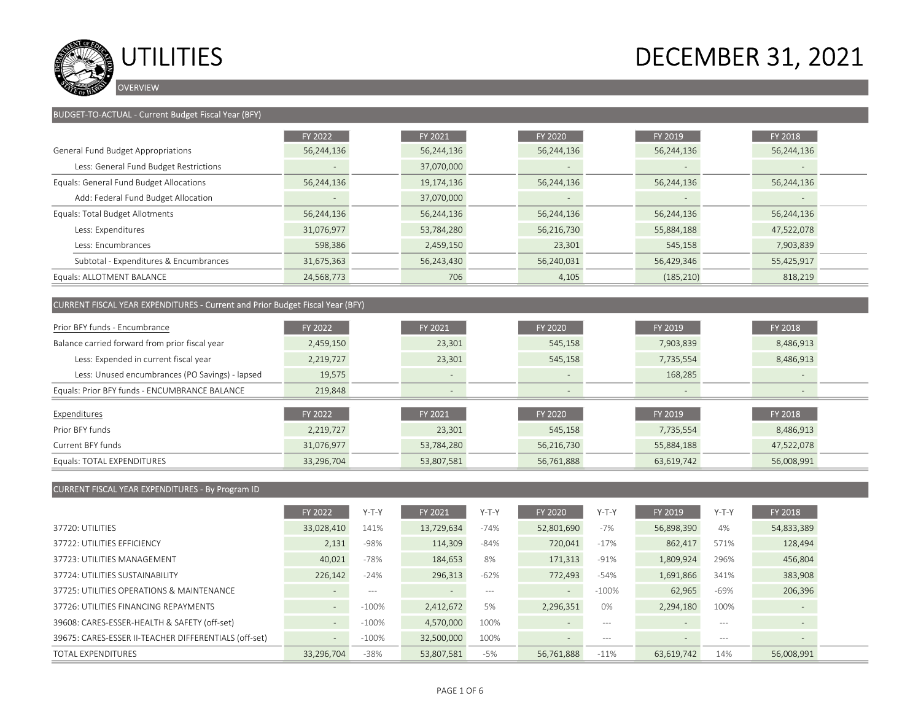

### BUDGET-TO-ACTUAL - Current Budget Fiscal Year (BFY)

|                                         | FY 2022                  | FY 2021    | FY 2020                  | FY 2019                  | <b>FY 2018</b> |  |
|-----------------------------------------|--------------------------|------------|--------------------------|--------------------------|----------------|--|
| General Fund Budget Appropriations      | 56,244,136               | 56,244,136 | 56,244,136               | 56,244,136               | 56,244,136     |  |
| Less: General Fund Budget Restrictions  | $\overline{\phantom{a}}$ | 37,070,000 | $\overline{\phantom{a}}$ | $\overline{\phantom{a}}$ |                |  |
| Equals: General Fund Budget Allocations | 56,244,136               | 19,174,136 | 56,244,136               | 56,244,136               | 56,244,136     |  |
| Add: Federal Fund Budget Allocation     | $-$                      | 37,070,000 |                          | $\qquad \qquad -$        |                |  |
| Equals: Total Budget Allotments         | 56,244,136               | 56,244,136 | 56,244,136               | 56,244,136               | 56,244,136     |  |
| Less: Expenditures                      | 31,076,977               | 53,784,280 | 56,216,730               | 55,884,188               | 47,522,078     |  |
| Less: Encumbrances                      | 598,386                  | 2,459,150  | 23,301                   | 545,158                  | 7,903,839      |  |
| Subtotal - Expenditures & Encumbrances  | 31,675,363               | 56,243,430 | 56,240,031               | 56,429,346               | 55,425,917     |  |
| Equals: ALLOTMENT BALANCE               | 24,568,773               | 706        | 4,105                    | (185, 210)               | 818,219        |  |

### CURRENT FISCAL YEAR EXPENDITURES - Current and Prior Budget Fiscal Year (BFY)

| Prior BFY funds - Encumbrance                   | FY 2022        | FY 2021                  | FY 2020                  | FY 2019    | FY 2018    |
|-------------------------------------------------|----------------|--------------------------|--------------------------|------------|------------|
| Balance carried forward from prior fiscal year  | 2,459,150      | 23,301                   | 545,158                  | 7,903,839  | 8,486,913  |
| Less: Expended in current fiscal year           | 2,219,727      | 23,301                   | 545,158                  | 7,735,554  | 8,486,913  |
| Less: Unused encumbrances (PO Savings) - lapsed | 19,575         | $\overline{\phantom{a}}$ | $\overline{\phantom{a}}$ | 168,285    |            |
| Equals: Prior BFY funds - ENCUMBRANCE BALANCE   | 219,848        | $\overline{\phantom{a}}$ | $-$                      | $-$        |            |
| Expenditures                                    | <b>FY 2022</b> | FY 2021                  | FY 2020                  | FY 2019    | FY 2018    |
| Prior BFY funds                                 | 2,219,727      | 23,301                   | 545,158                  | 7,735,554  | 8,486,913  |
| Current BFY funds                               | 31,076,977     | 53,784,280               | 56,216,730               | 55,884,188 | 47,522,078 |

Equals: TOTAL EXPENDITURES 33,296,704 33,296,704 33,296,704 33,296,761,888 55,761,888 56,008,991

### CURRENT FISCAL YEAR EXPENDITURES - By Program ID

|                                                       | <b>FY 2022</b>           | Y-T-Y    | FY 2021        | $Y-T-Y$ | FY 2020                  | $Y-T-Y$  | <b>FY 2019</b>           | $Y-T-Y$ | FY 2018                  |  |
|-------------------------------------------------------|--------------------------|----------|----------------|---------|--------------------------|----------|--------------------------|---------|--------------------------|--|
| 37720: UTILITIES                                      | 33,028,410               | 141%     | 13,729,634     | $-74%$  | 52,801,690               | $-7%$    | 56,898,390               | 4%      | 54,833,389               |  |
| 37722: UTILITIES FEFICIENCY                           | 2,131                    | $-98%$   | 114,309        | $-84%$  | 720,041                  | $-17%$   | 862,417                  | 571%    | 128,494                  |  |
| 37723: UTILITIES MANAGEMENT                           | 40,021                   | $-78%$   | 184,653        | 8%      | 171,313                  | $-91%$   | 1,809,924                | 296%    | 456,804                  |  |
| 37724: UTILITIES SUSTAINABILITY                       | 226,142                  | $-24%$   | 296,313        | $-62%$  | 772,493                  | $-54%$   | 1,691,866                | 341%    | 383,908                  |  |
| 37725: UTILITIES OPERATIONS & MAINTENANCE             | $-$                      | $- - -$  | $\overline{a}$ | $- - -$ | $\overline{\phantom{a}}$ | $-100\%$ | 62,965                   | $-69%$  | 206,396                  |  |
| 37726: UTILITIES FINANCING REPAYMENTS                 | $\sim$                   | $-100\%$ | 2,412,672      | 5%      | 2,296,351                | 0%       | 2,294,180                | 100%    |                          |  |
| 39608: CARES-ESSER-HEALTH & SAFETY (off-set)          | $\sim$                   | $-100\%$ | 4,570,000      | 100%    |                          | $- - -$  | $\overline{\phantom{0}}$ | $- - -$ | $\overline{\phantom{a}}$ |  |
| 39675: CARES-ESSER II-TEACHER DIFFERENTIALS (off-set) | $\overline{\phantom{a}}$ | $-100\%$ | 32,500,000     | 100%    | $\equiv$                 | $- - -$  | $\overline{\phantom{0}}$ | $- - -$ |                          |  |
| <b>TOTAL EXPENDITURES</b>                             | 33,296,704               | $-38%$   | 53,807,581     | $-5%$   | 56,761,888               | $-11%$   | 63,619,742               | 14%     | 56,008,991               |  |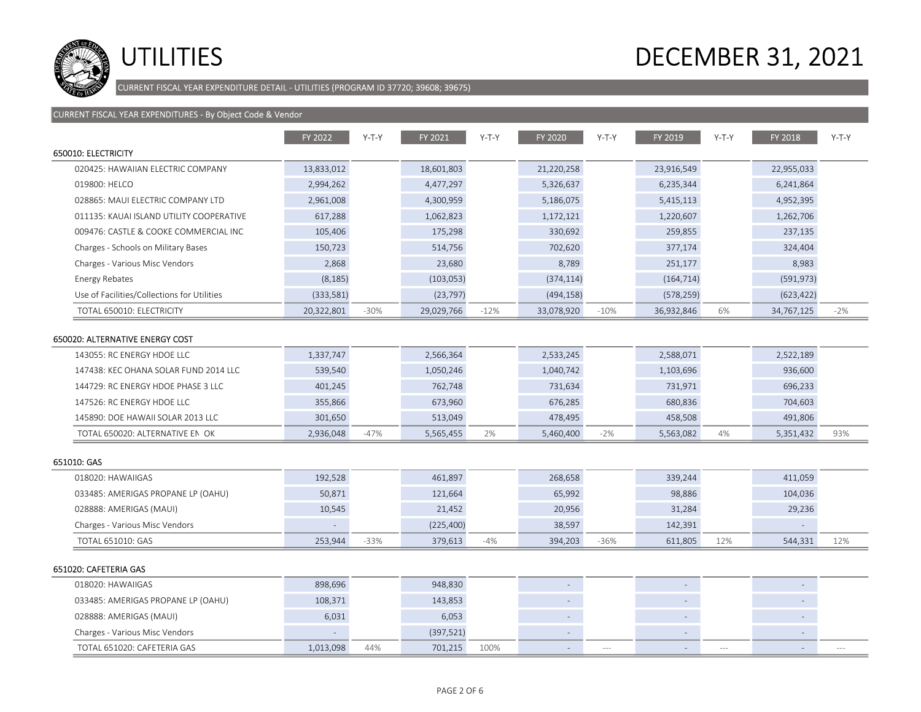

CURRENT FISCAL YEAR EXPENDITURE DETAIL - UTILITIES (PROGRAM ID 37720; 39608; 39675)

|                                             | FY 2022    | $Y-T-Y$ | FY 2021    | $Y-T-Y$ | FY 2020    | $Y-T-Y$ | FY 2019                  | $Y-T-Y$ | FY 2018                  | $Y-T-Y$ |
|---------------------------------------------|------------|---------|------------|---------|------------|---------|--------------------------|---------|--------------------------|---------|
| 650010: ELECTRICITY                         |            |         |            |         |            |         |                          |         |                          |         |
| 020425: HAWAIIAN ELECTRIC COMPANY           | 13,833,012 |         | 18,601,803 |         | 21,220,258 |         | 23,916,549               |         | 22,955,033               |         |
| 019800: HELCO                               | 2,994,262  |         | 4,477,297  |         | 5,326,637  |         | 6,235,344                |         | 6,241,864                |         |
| 028865: MAUI ELECTRIC COMPANY LTD           | 2,961,008  |         | 4,300,959  |         | 5,186,075  |         | 5,415,113                |         | 4,952,395                |         |
| 011135: KAUAI ISLAND UTILITY COOPERATIVE    | 617,288    |         | 1,062,823  |         | 1,172,121  |         | 1,220,607                |         | 1,262,706                |         |
| 009476: CASTLE & COOKE COMMERCIAL INC       | 105,406    |         | 175,298    |         | 330,692    |         | 259,855                  |         | 237,135                  |         |
| Charges - Schools on Military Bases         | 150,723    |         | 514,756    |         | 702,620    |         | 377,174                  |         | 324,404                  |         |
| Charges - Various Misc Vendors              | 2,868      |         | 23,680     |         | 8,789      |         | 251,177                  |         | 8,983                    |         |
| Energy Rebates                              | (8, 185)   |         | (103, 053) |         | (374, 114) |         | (164, 714)               |         | (591, 973)               |         |
| Use of Facilities/Collections for Utilities | (333,581)  |         | (23, 797)  |         | (494, 158) |         | (578, 259)               |         | (623, 422)               |         |
| TOTAL 650010: ELECTRICITY                   | 20,322,801 | $-30%$  | 29,029,766 | $-12%$  | 33,078,920 | $-10%$  | 36,932,846               | 6%      | 34,767,125               | $-2%$   |
|                                             |            |         |            |         |            |         |                          |         |                          |         |
| 650020: ALTERNATIVE ENERGY COST             |            |         |            |         |            |         |                          |         |                          |         |
| 143055: RC ENERGY HDOE LLC                  | 1,337,747  |         | 2,566,364  |         | 2,533,245  |         | 2,588,071                |         | 2,522,189                |         |
| 147438: KEC OHANA SOLAR FUND 2014 LLC       | 539,540    |         | 1,050,246  |         | 1,040,742  |         | 1,103,696                |         | 936,600                  |         |
| 144729: RC ENERGY HDOE PHASE 3 LLC          | 401,245    |         | 762,748    |         | 731,634    |         | 731,971                  |         | 696,233                  |         |
| 147526: RC ENERGY HDOE LLC                  | 355,866    |         | 673,960    |         | 676,285    |         | 680,836                  |         | 704,603                  |         |
| 145890: DOE HAWAII SOLAR 2013 LLC           | 301,650    |         | 513,049    |         | 478,495    |         | 458,508                  |         | 491,806                  |         |
| TOTAL 650020: ALTERNATIVE EN OK             | 2,936,048  | $-47%$  | 5,565,455  | 2%      | 5,460,400  | $-2%$   | 5,563,082                | 4%      | 5,351,432                | 93%     |
| 651010: GAS                                 |            |         |            |         |            |         |                          |         |                          |         |
| 018020: HAWAIIGAS                           | 192,528    |         | 461,897    |         | 268,658    |         | 339,244                  |         | 411,059                  |         |
| 033485: AMERIGAS PROPANE LP (OAHU)          | 50,871     |         | 121,664    |         | 65,992     |         | 98,886                   |         | 104,036                  |         |
| 028888: AMERIGAS (MAUI)                     | 10,545     |         | 21,452     |         | 20,956     |         | 31,284                   |         | 29,236                   |         |
| Charges - Various Misc Vendors              |            |         | (225, 400) |         | 38,597     |         | 142,391                  |         |                          |         |
| TOTAL 651010: GAS                           | 253,944    | $-33%$  | 379,613    | $-4%$   | 394,203    | $-36%$  | 611,805                  | 12%     | 544,331                  | 12%     |
| 651020: CAFETERIA GAS                       |            |         |            |         |            |         |                          |         |                          |         |
| 018020: HAWAIIGAS                           | 898,696    |         | 948,830    |         |            |         | $\sim$                   |         |                          |         |
| 033485: AMERIGAS PROPANE LP (OAHU)          | 108,371    |         | 143,853    |         |            |         | $\overline{\phantom{a}}$ |         | $\overline{\phantom{a}}$ |         |
| 028888: AMERIGAS (MAUI)                     | 6,031      |         | 6,053      |         |            |         | $\overline{\phantom{a}}$ |         |                          |         |
| Charges - Various Misc Vendors              |            |         | (397, 521) |         |            |         | $\sim$                   |         | $\overline{\phantom{a}}$ |         |
| TOTAL 651020: CAFETERIA GAS                 | 1,013,098  | 44%     | 701,215    | 100%    |            | $---$   |                          | $-$     |                          |         |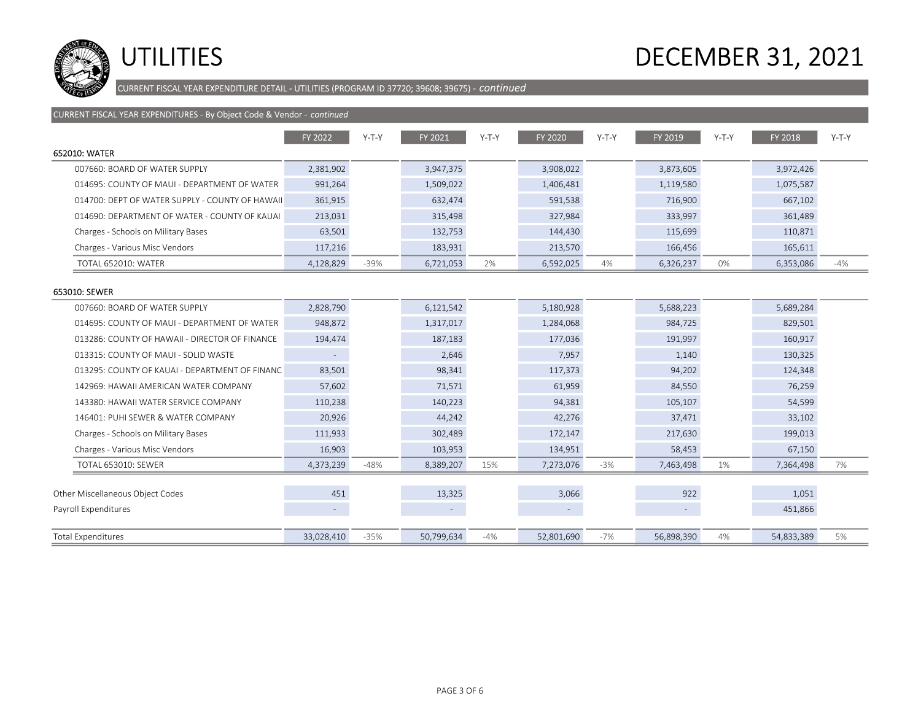

CURRENT FISCAL YEAR EXPENDITURE DETAIL - UTILITIES (PROGRAM ID 37720; 39608; 39675) - continued

| CURRENT FISCAL YEAR EXPENDITURES - By Object Code & Vendor - continued |            |         |            |         |            |         |            |         |            |         |
|------------------------------------------------------------------------|------------|---------|------------|---------|------------|---------|------------|---------|------------|---------|
|                                                                        | FY 2022    | $Y-T-Y$ | FY 2021    | $Y-T-Y$ | FY 2020    | $Y-T-Y$ | FY 2019    | $Y-T-Y$ | FY 2018    | $Y-T-Y$ |
| 652010: WATER                                                          |            |         |            |         |            |         |            |         |            |         |
| 007660: BOARD OF WATER SUPPLY                                          | 2,381,902  |         | 3,947,375  |         | 3,908,022  |         | 3,873,605  |         | 3,972,426  |         |
| 014695: COUNTY OF MAUI - DEPARTMENT OF WATER                           | 991,264    |         | 1,509,022  |         | 1,406,481  |         | 1,119,580  |         | 1,075,587  |         |
| 014700: DEPT OF WATER SUPPLY - COUNTY OF HAWAII                        | 361,915    |         | 632,474    |         | 591,538    |         | 716,900    |         | 667,102    |         |
| 014690: DEPARTMENT OF WATER - COUNTY OF KAUAI                          | 213,031    |         | 315,498    |         | 327,984    |         | 333,997    |         | 361,489    |         |
| Charges - Schools on Military Bases                                    | 63,501     |         | 132,753    |         | 144,430    |         | 115,699    |         | 110,871    |         |
| Charges - Various Misc Vendors                                         | 117,216    |         | 183,931    |         | 213,570    |         | 166,456    |         | 165,611    |         |
| <b>TOTAL 652010: WATER</b>                                             | 4,128,829  | $-39%$  | 6,721,053  | 2%      | 6,592,025  | 4%      | 6,326,237  | 0%      | 6,353,086  | $-4%$   |
| 653010: SEWER                                                          |            |         |            |         |            |         |            |         |            |         |
| 007660: BOARD OF WATER SUPPLY                                          | 2,828,790  |         | 6,121,542  |         | 5,180,928  |         | 5,688,223  |         | 5,689,284  |         |
| 014695: COUNTY OF MAUI - DEPARTMENT OF WATER                           | 948,872    |         | 1,317,017  |         | 1,284,068  |         | 984,725    |         | 829,501    |         |
| 013286: COUNTY OF HAWAII - DIRECTOR OF FINANCE                         | 194,474    |         | 187,183    |         | 177,036    |         | 191,997    |         | 160,917    |         |
| 013315: COUNTY OF MAUI - SOLID WASTE                                   | $\sim$     |         | 2,646      |         | 7,957      |         | 1,140      |         | 130,325    |         |
| 013295: COUNTY OF KAUAI - DEPARTMENT OF FINANC                         | 83,501     |         | 98,341     |         | 117,373    |         | 94,202     |         | 124,348    |         |
| 142969: HAWAII AMERICAN WATER COMPANY                                  | 57,602     |         | 71,571     |         | 61,959     |         | 84,550     |         | 76,259     |         |
| 143380: HAWAII WATER SERVICE COMPANY                                   | 110,238    |         | 140,223    |         | 94,381     |         | 105,107    |         | 54,599     |         |
| 146401: PUHI SEWER & WATER COMPANY                                     | 20,926     |         | 44,242     |         | 42,276     |         | 37,471     |         | 33,102     |         |
| Charges - Schools on Military Bases                                    | 111,933    |         | 302,489    |         | 172,147    |         | 217,630    |         | 199,013    |         |
| Charges - Various Misc Vendors                                         | 16,903     |         | 103,953    |         | 134,951    |         | 58,453     |         | 67,150     |         |
| <b>TOTAL 653010: SEWER</b>                                             | 4,373,239  | $-48%$  | 8,389,207  | 15%     | 7,273,076  | $-3%$   | 7,463,498  | 1%      | 7,364,498  | 7%      |
|                                                                        |            |         |            |         |            |         |            |         |            |         |
| Other Miscellaneous Object Codes                                       | 451        |         | 13,325     |         | 3,066      |         | 922        |         | 1,051      |         |
| Payroll Expenditures                                                   | $\sim$     |         | $\sim$     |         |            |         | $\sim$     |         | 451,866    |         |
| <b>Total Expenditures</b>                                              | 33,028,410 | $-35%$  | 50,799,634 | $-4%$   | 52,801,690 | $-7%$   | 56,898,390 | 4%      | 54,833,389 | 5%      |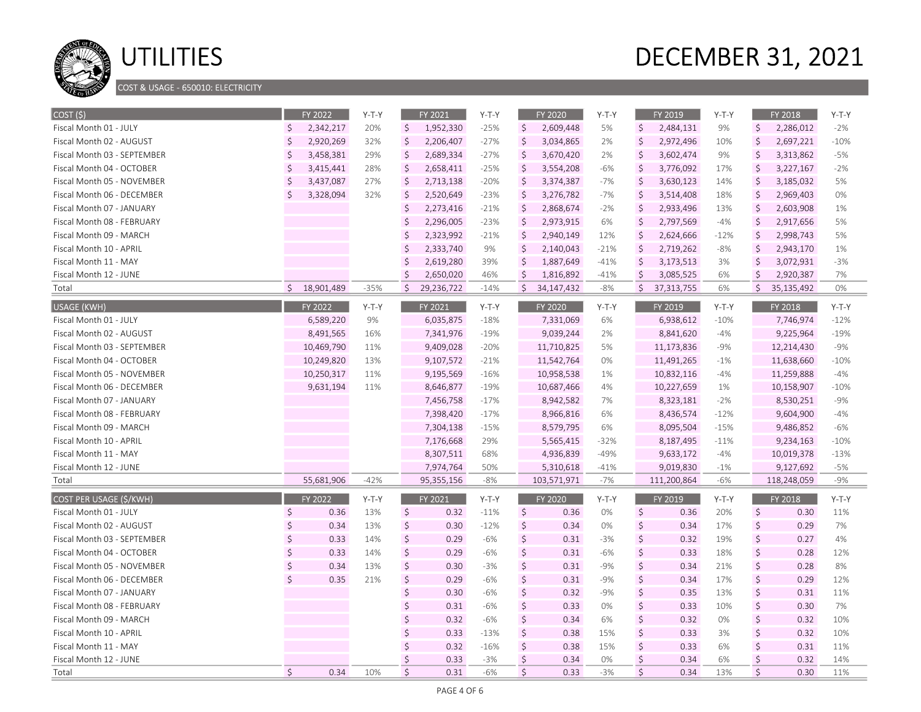

COST & USAGE - 650010: ELECTRICITY

| $\zeta$<br>\$<br>\$<br>$-25%$<br>\$<br>\$<br>Fiscal Month 01 - JULY<br>2,342,217<br>20%<br>1,952,330<br>2,609,448<br>5%<br>2,484,131<br>9%<br>2,286,012<br>$\zeta$<br>$\zeta$<br>\$<br>$\zeta$<br>Ś.<br>$-27%$<br>2,697,221<br>Fiscal Month 02 - AUGUST<br>2,920,269<br>32%<br>2,206,407<br>3,034,865<br>2%<br>2,972,496<br>10%<br>$\zeta$<br>Ś.<br>$\zeta$<br>2,689,334<br>\$<br>$\zeta$<br>3,313,862<br>Fiscal Month 03 - SEPTEMBER<br>3,458,381<br>29%<br>$-27%$<br>3,670,420<br>3,602,474<br>9%<br>2% | $-2%$<br>$-10%$<br>$-5%$<br>-2%<br>5%<br>0% |
|-----------------------------------------------------------------------------------------------------------------------------------------------------------------------------------------------------------------------------------------------------------------------------------------------------------------------------------------------------------------------------------------------------------------------------------------------------------------------------------------------------------|---------------------------------------------|
|                                                                                                                                                                                                                                                                                                                                                                                                                                                                                                           |                                             |
|                                                                                                                                                                                                                                                                                                                                                                                                                                                                                                           |                                             |
|                                                                                                                                                                                                                                                                                                                                                                                                                                                                                                           |                                             |
| Ŝ.<br>$\zeta$<br>\$<br>\$<br>$\zeta$<br>Fiscal Month 04 - OCTOBER<br>28%<br>2,658,411<br>3,776,092<br>17%<br>3,227,167<br>3,415,441<br>$-25%$<br>3,554,208<br>$-6%$                                                                                                                                                                                                                                                                                                                                       |                                             |
| \$<br>\$<br>Ś.<br>\$<br>$\zeta$<br>3,185,032<br>Fiscal Month 05 - NOVEMBER<br>3,437,087<br>27%<br>2,713,138<br>$-20%$<br>3,374,387<br>$-7%$<br>3,630,123<br>14%                                                                                                                                                                                                                                                                                                                                           |                                             |
| $\zeta$<br>\$<br>$\zeta$<br>Ŝ.<br>3,328,094<br>32%<br>2,520,649<br>$-23%$<br>\$<br>3,276,782<br>$-7%$<br>3,514,408<br>18%<br>2,969,403<br>Fiscal Month 06 - DECEMBER                                                                                                                                                                                                                                                                                                                                      |                                             |
| $\zeta$<br>2,273,416<br>\$<br>$\zeta$<br>$-21%$<br>\$<br>2,868,674<br>$-2%$<br>2,933,496<br>13%<br>2,603,908<br>Fiscal Month 07 - JANUARY                                                                                                                                                                                                                                                                                                                                                                 | 1%                                          |
| $\zeta$<br>2,296,005<br>$\zeta$<br>\$<br>$-4%$<br>$\zeta$<br>$-23%$<br>2,973,915<br>2,797,569<br>2,917,656<br>Fiscal Month 08 - FEBRUARY<br>6%                                                                                                                                                                                                                                                                                                                                                            | 5%                                          |
| $\zeta$<br><sup>5</sup><br>2,323,992<br>$\zeta$<br>\$<br>2,998,743<br>$-21%$<br>2,940,149<br>12%<br>2,624,666<br>$-12%$<br>Fiscal Month 09 - MARCH                                                                                                                                                                                                                                                                                                                                                        | 5%                                          |
| <sup>5</sup><br>\$<br>$\zeta$<br>Fiscal Month 10 - APRIL<br>2,333,740<br>9%<br>\$<br>2,140,043<br>$-21%$<br>2,719,262<br>$-8%$<br>2,943,170                                                                                                                                                                                                                                                                                                                                                               | 1%                                          |
| Ś<br>$\zeta$<br>2,619,280<br>39%<br>\$<br>1,887,649<br>$-41%$<br>3,173,513<br>3%<br>Ŝ<br>3,072,931<br>Fiscal Month 11 - MAY                                                                                                                                                                                                                                                                                                                                                                               | $-3%$                                       |
| $\zeta$<br>\$<br>\$<br>2,650,020<br>\$<br>$-41%$<br>3,085,525<br>6%<br>2,920,387<br>Fiscal Month 12 - JUNE<br>46%<br>1,816,892                                                                                                                                                                                                                                                                                                                                                                            | 7%                                          |
| $\zeta$<br>$\zeta$<br>$\zeta$<br>\$18,901,489<br>$-35%$<br>29,236,722<br>\$<br>6%<br>Total<br>$-14%$<br>34, 147, 432<br>$-8%$<br>37,313,755<br>35,135,492                                                                                                                                                                                                                                                                                                                                                 | 0%                                          |
| <b>USAGE (KWH)</b><br>FY 2022<br>FY 2019<br>FY 2018<br>$Y-T-Y$<br>FY 2021<br>$Y-T-Y$<br>FY 2020<br>$Y-T-Y$<br>Y-T-Y                                                                                                                                                                                                                                                                                                                                                                                       | $Y-T-Y$                                     |
| 9%<br>Fiscal Month 01 - JULY<br>6,589,220<br>6,035,875<br>$-18%$<br>7,331,069<br>6%<br>6,938,612<br>$-10%$<br>7,746,974                                                                                                                                                                                                                                                                                                                                                                                   | $-12%$                                      |
| Fiscal Month 02 - AUGUST<br>8,491,565<br>16%<br>7,341,976<br>$-19%$<br>9,039,244<br>8,841,620<br>$-4%$<br>9,225,964<br>2%                                                                                                                                                                                                                                                                                                                                                                                 | $-19%$                                      |
| 10,469,790<br>9,409,028<br>$-20%$<br>11,710,825<br>5%<br>$-9%$<br>12,214,430<br>Fiscal Month 03 - SEPTEMBER<br>11%<br>11,173,836                                                                                                                                                                                                                                                                                                                                                                          | $-9%$                                       |
| 13%<br>9,107,572<br>$-21%$<br>11,542,764<br>$-1%$<br>11,638,660<br>Fiscal Month 04 - OCTOBER<br>10,249,820<br>0%<br>11,491,265                                                                                                                                                                                                                                                                                                                                                                            | $-10%$                                      |
| 10,250,317<br>11%<br>9,195,569<br>$-16%$<br>10,958,538<br>1%<br>10,832,116<br>$-4%$<br>11,259,888<br>Fiscal Month 05 - NOVEMBER                                                                                                                                                                                                                                                                                                                                                                           | $-4%$                                       |
| 9,631,194<br>11%<br>8,646,877<br>10,687,466<br>10,227,659<br>10,158,907<br>Fiscal Month 06 - DECEMBER<br>$-19%$<br>4%<br>1%                                                                                                                                                                                                                                                                                                                                                                               | $-10%$                                      |
| 7,456,758<br>$-2%$<br>8,530,251<br>Fiscal Month 07 - JANUARY<br>$-17%$<br>8,942,582<br>7%<br>8,323,181                                                                                                                                                                                                                                                                                                                                                                                                    | $-9%$                                       |
| 7,398,420<br>$-12%$<br>9,604,900<br>Fiscal Month 08 - FEBRUARY<br>$-17%$<br>8,966,816<br>6%<br>8,436,574                                                                                                                                                                                                                                                                                                                                                                                                  | $-4%$                                       |
| 7,304,138<br>$-15%$<br>8,579,795<br>$-15%$<br>9,486,852<br>Fiscal Month 09 - MARCH<br>6%<br>8,095,504                                                                                                                                                                                                                                                                                                                                                                                                     | $-6%$                                       |
| 7,176,668<br>Fiscal Month 10 - APRIL<br>29%<br>5,565,415<br>$-32%$<br>8,187,495<br>$-11%$<br>9,234,163                                                                                                                                                                                                                                                                                                                                                                                                    | $-10%$                                      |
| Fiscal Month 11 - MAY<br>8,307,511<br>68%<br>4,936,839<br>$-49%$<br>9,633,172<br>$-4%$<br>10,019,378                                                                                                                                                                                                                                                                                                                                                                                                      | $-13%$                                      |
| 7,974,764<br>50%<br>5,310,618<br>$-41%$<br>9,019,830<br>$-1%$<br>9,127,692<br>Fiscal Month 12 - JUNE                                                                                                                                                                                                                                                                                                                                                                                                      | $-5%$                                       |
| 55,681,906<br>$-42%$<br>95,355,156<br>$-8%$<br>103,571,971<br>$-7%$<br>111,200,864<br>-6%<br>118,248,059<br>Total                                                                                                                                                                                                                                                                                                                                                                                         | $-9%$                                       |
| COST PER USAGE (\$/KWH)<br>FY 2022<br>Y-T-Y<br>FY 2021<br>$Y-T-Y$<br>FY 2020<br>FY 2019<br>$Y-T-Y$<br>FY 2018<br>$Y-T-Y$                                                                                                                                                                                                                                                                                                                                                                                  | $Y-T-Y$                                     |
| \$<br>\$<br>\$<br>\$<br>\$<br>Fiscal Month 01 - JULY<br>0.36<br>13%<br>0.32<br>$-11%$<br>0%<br>0.36<br>20%<br>0.30<br>0.36                                                                                                                                                                                                                                                                                                                                                                                | 11%                                         |
| $\mathsf{\dot{S}}$<br>$\zeta$<br>$\zeta$<br>\$<br>\$<br>Fiscal Month 02 - AUGUST<br>0.34<br>13%<br>0.30<br>$-12%$<br>0.34<br>0%<br>0.34<br>17%<br>0.29                                                                                                                                                                                                                                                                                                                                                    | 7%                                          |
| $\zeta$<br>$\mathsf{\hat{S}}$<br>Ś<br>\$<br>\$<br>Fiscal Month 03 - SEPTEMBER<br>0.33<br>14%<br>0.29<br>$-6%$<br>0.31<br>$-3%$<br>0.32<br>19%<br>0.27                                                                                                                                                                                                                                                                                                                                                     | 4%                                          |
| $\zeta$<br>$\zeta$<br>$\mathsf{\hat{S}}$<br>$\zeta$<br>Ŝ.<br>Fiscal Month 04 - OCTOBER<br>0.33<br>14%<br>0.29<br>$-6%$<br>0.31<br>$-6%$<br>0.33<br>18%<br>0.28                                                                                                                                                                                                                                                                                                                                            | 12%                                         |
| $\zeta$<br>\$<br>\$<br>$\zeta$<br>Ŝ.<br>Fiscal Month 05 - NOVEMBER<br>0.34<br>13%<br>0.30<br>$-3%$<br>0.31<br>$-9%$<br>0.34<br>21%<br>0.28                                                                                                                                                                                                                                                                                                                                                                | 8%                                          |
| $\zeta$<br>Ś<br>$\zeta$<br>$\zeta$<br>$\zeta$<br>0.35<br>21%<br>0.29<br>0.31<br>$-9%$<br>0.34<br>17%<br>0.29<br>Fiscal Month 06 - DECEMBER<br>-6%                                                                                                                                                                                                                                                                                                                                                         | 12%                                         |
| \$<br>$\zeta$<br>$\zeta$<br>$\zeta$<br>0.32<br>$-9%$<br>0.35<br>13%<br>Fiscal Month 07 - JANUARY<br>0.30<br>-6%<br>0.31                                                                                                                                                                                                                                                                                                                                                                                   | 11%                                         |
| $\zeta$<br>\$<br>$\zeta$<br>$\zeta$<br>0.31<br>0.33<br>0%<br>0.33<br>10%<br>0.30<br>Fiscal Month 08 - FEBRUARY<br>-6%                                                                                                                                                                                                                                                                                                                                                                                     | 7%                                          |
| $\zeta$<br>$\zeta$<br>\$<br>0.32<br>$\zeta$<br>0.32<br>0.34<br>0%<br>0.32<br>Fiscal Month 09 - MARCH<br>-6%<br>6%                                                                                                                                                                                                                                                                                                                                                                                         | 10%                                         |
| $\zeta$<br>Ś<br>$\zeta$<br>$\zeta$<br>Fiscal Month 10 - APRIL<br>0.33<br>$-13%$<br>0.38<br>15%<br>0.33<br>3%<br>0.32                                                                                                                                                                                                                                                                                                                                                                                      | 10%                                         |
| \$<br>$\zeta$<br>$\zeta$<br>$\zeta$<br>0.32<br>$-16%$<br>0.38<br>15%<br>0.33<br>6%<br>0.31<br>Fiscal Month 11 - MAY                                                                                                                                                                                                                                                                                                                                                                                       | 11%                                         |
| $\zeta$<br>Ś<br>$\zeta$<br>$\zeta$<br>Fiscal Month 12 - JUNE<br>0.33<br>$-3%$<br>0.34<br>0%<br>0.34<br>6%<br>0.32                                                                                                                                                                                                                                                                                                                                                                                         | 14%                                         |
| \$<br>$\mathsf{\dot{S}}$<br>$\zeta$<br>\$<br>\$<br>0.34<br>0.31<br>0.33<br>$-3%$<br>0.34<br>0.30<br>Total<br>10%<br>$-6%$<br>13%                                                                                                                                                                                                                                                                                                                                                                          | 11%                                         |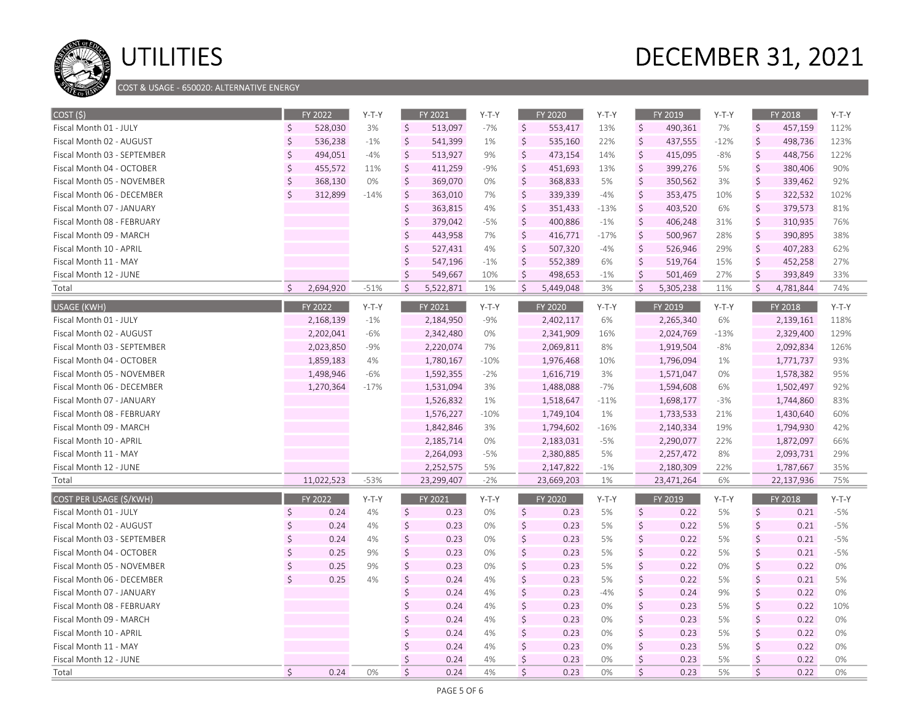

### COST & USAGE - 650020: ALTERNATIVE ENERGY

| $\vert$ COST $\vert$ (\$)      |                    | FY 2022    | $Y-T-Y$ |                    | FY 2021    | $Y-T-Y$ |              | FY 2020        | $Y-T-Y$ |                    | FY 2019    | $Y-T-Y$ |         | FY 2018    | $Y-T-Y$ |
|--------------------------------|--------------------|------------|---------|--------------------|------------|---------|--------------|----------------|---------|--------------------|------------|---------|---------|------------|---------|
| Fiscal Month 01 - JULY         | Ŝ                  | 528,030    | 3%      | $\zeta$            | 513,097    | $-7%$   | \$           | 553,417        | 13%     | \$                 | 490,361    | 7%      | $\zeta$ | 457,159    | 112%    |
| Fiscal Month 02 - AUGUST       | $\zeta$            | 536,238    | $-1%$   | $\zeta$            | 541,399    | 1%      | \$           | 535,160        | 22%     | $\zeta$            | 437,555    | $-12%$  | $\zeta$ | 498,736    | 123%    |
| Fiscal Month 03 - SEPTEMBER    | $\zeta$            | 494,051    | $-4%$   | $\zeta$            | 513,927    | 9%      | $\zeta$      | 473,154        | 14%     | \$                 | 415,095    | $-8%$   | $\zeta$ | 448,756    | 122%    |
| Fiscal Month 04 - OCTOBER      | $\zeta$            | 455,572    | 11%     | \$                 | 411,259    | $-9%$   | $\zeta$      | 451,693        | 13%     | \$                 | 399,276    | 5%      | $\zeta$ | 380,406    | 90%     |
| Fiscal Month 05 - NOVEMBER     | \$                 | 368,130    | 0%      | \$                 | 369,070    | $0\%$   | $\zeta$      | 368,833        | 5%      | \$                 | 350,562    | 3%      | $\zeta$ | 339,462    | 92%     |
| Fiscal Month 06 - DECEMBER     | Ś.                 | 312,899    | $-14%$  | $\zeta$            | 363,010    | 7%      | \$           | 339,339        | $-4%$   | \$                 | 353,475    | 10%     | $\zeta$ | 322,532    | 102%    |
| Fiscal Month 07 - JANUARY      |                    |            |         | $\zeta$            | 363,815    | 4%      | $\zeta$      | 351,433        | $-13%$  | \$                 | 403,520    | 6%      | $\zeta$ | 379,573    | 81%     |
| Fiscal Month 08 - FEBRUARY     |                    |            |         | $\zeta$            | 379,042    | $-5%$   | $\zeta$      | 400,886        | $-1%$   | \$                 | 406,248    | 31%     | $\zeta$ | 310,935    | 76%     |
| Fiscal Month 09 - MARCH        |                    |            |         | $\zeta$            | 443,958    | 7%      | $\zeta$      | 416,771        | $-17%$  | \$                 | 500,967    | 28%     | $\zeta$ | 390,895    | 38%     |
| Fiscal Month 10 - APRIL        |                    |            |         | \$                 | 527,431    | 4%      | $\zeta$      | 507,320        | $-4%$   | \$                 | 526,946    | 29%     | $\zeta$ | 407,283    | 62%     |
| Fiscal Month 11 - MAY          |                    |            |         | Ś.                 | 547,196    | $-1%$   | $\zeta$      | 552,389        | 6%      | \$                 | 519,764    | 15%     | $\zeta$ | 452,258    | 27%     |
| Fiscal Month 12 - JUNE         |                    |            |         | $\mathsf{\dot{S}}$ | 549,667    | 10%     | Ś.           | 498,653        | $-1%$   | \$                 | 501,469    | 27%     | $\zeta$ | 393,849    | 33%     |
| Total                          | Ŝ.                 | 2,694,920  | $-51%$  | $\mathsf{S}$       | 5,522,871  | 1%      | $\mathsf{S}$ | 5,449,048      | 3%      | \$                 | 5,305,238  | 11%     | $\zeta$ | 4,781,844  | 74%     |
| USAGE (KWH)                    |                    | FY 2022    | $Y-T-Y$ |                    | FY 2021    | $Y-T-Y$ |              | FY 2020        | $Y-T-Y$ |                    | FY 2019    | $Y-T-Y$ |         | FY 2018    | $Y-T-Y$ |
| Fiscal Month 01 - JULY         |                    | 2,168,139  | $-1%$   |                    | 2,184,950  | $-9%$   |              | 2,402,117      | 6%      |                    | 2,265,340  | 6%      |         | 2,139,161  | 118%    |
| Fiscal Month 02 - AUGUST       |                    | 2,202,041  | $-6%$   |                    | 2,342,480  | 0%      |              | 2,341,909      | 16%     |                    | 2,024,769  | $-13%$  |         | 2,329,400  | 129%    |
| Fiscal Month 03 - SEPTEMBER    |                    | 2,023,850  | $-9%$   |                    | 2,220,074  | 7%      |              | 2,069,811      | 8%      |                    | 1,919,504  | $-8%$   |         | 2,092,834  | 126%    |
| Fiscal Month 04 - OCTOBER      |                    | 1,859,183  | 4%      |                    | 1,780,167  | $-10%$  |              | 1,976,468      | 10%     |                    | 1,796,094  | 1%      |         | 1,771,737  | 93%     |
| Fiscal Month 05 - NOVEMBER     |                    | 1,498,946  | $-6%$   |                    | 1,592,355  | $-2%$   |              | 1,616,719      | 3%      |                    | 1,571,047  | 0%      |         | 1,578,382  | 95%     |
| Fiscal Month 06 - DECEMBER     |                    | 1,270,364  | $-17%$  |                    | 1,531,094  | 3%      |              | 1,488,088      | $-7%$   |                    | 1,594,608  | 6%      |         | 1,502,497  | 92%     |
| Fiscal Month 07 - JANUARY      |                    |            |         |                    | 1,526,832  | 1%      |              | 1,518,647      | $-11%$  |                    | 1,698,177  | $-3%$   |         | 1,744,860  | 83%     |
| Fiscal Month 08 - FEBRUARY     |                    |            |         |                    | 1,576,227  | $-10%$  |              | 1,749,104      | 1%      |                    | 1,733,533  | 21%     |         | 1,430,640  | 60%     |
| Fiscal Month 09 - MARCH        |                    |            |         |                    | 1,842,846  | 3%      |              | 1,794,602      | $-16%$  |                    | 2,140,334  | 19%     |         | 1,794,930  | 42%     |
| Fiscal Month 10 - APRIL        |                    |            |         |                    | 2,185,714  | 0%      |              | 2,183,031      | $-5%$   |                    | 2,290,077  | 22%     |         | 1,872,097  | 66%     |
| Fiscal Month 11 - MAY          |                    |            |         |                    | 2,264,093  | $-5%$   |              | 2,380,885      | 5%      |                    | 2,257,472  | 8%      |         | 2,093,731  | 29%     |
| Fiscal Month 12 - JUNE         |                    |            |         |                    | 2,252,575  | 5%      |              | 2,147,822      | $-1%$   |                    | 2,180,309  | 22%     |         | 1,787,667  | 35%     |
| Total                          |                    | 11,022,523 | $-53%$  |                    | 23,299,407 | $-2%$   |              | 23,669,203     | 1%      |                    | 23,471,264 | 6%      |         | 22,137,936 | 75%     |
| <b>COST PER USAGE (\$/KWH)</b> |                    | FY 2022    | $Y-T-Y$ |                    | FY 2021    | $Y-T-Y$ |              | <b>FY 2020</b> | $Y-T-Y$ |                    | FY 2019    | $Y-T-Y$ |         | FY 2018    | $Y-T-Y$ |
| Fiscal Month 01 - JULY         | $\zeta$            | 0.24       | 4%      | $\zeta$            | 0.23       | 0%      | $\zeta$      | 0.23           | 5%      | \$                 | 0.22       | 5%      | $\zeta$ | 0.21       | $-5%$   |
| Fiscal Month 02 - AUGUST       | $\mathsf{\hat{S}}$ | 0.24       | 4%      | $\zeta$            | 0.23       | 0%      | $\zeta$      | 0.23           | 5%      | \$                 | 0.22       | 5%      | $\zeta$ | 0.21       | $-5%$   |
| Fiscal Month 03 - SEPTEMBER    | Ś.                 | 0.24       | 4%      | $\zeta$            | 0.23       | 0%      | $\zeta$      | 0.23           | 5%      | \$                 | 0.22       | 5%      | $\zeta$ | 0.21       | $-5%$   |
| Fiscal Month 04 - OCTOBER      | Ŝ.                 | 0.25       | 9%      | \$                 | 0.23       | 0%      | $\zeta$      | 0.23           | 5%      | \$                 | 0.22       | 5%      | $\zeta$ | 0.21       | $-5%$   |
| Fiscal Month 05 - NOVEMBER     | Ś.                 | 0.25       | 9%      | $\zeta$            | 0.23       | 0%      | $\zeta$      | 0.23           | 5%      | $\mathsf{\hat{S}}$ | 0.22       | 0%      | $\zeta$ | 0.22       | 0%      |
| Fiscal Month 06 - DECEMBER     | $\mathsf{\hat{S}}$ | 0.25       | 4%      | \$                 | 0.24       | 4%      | $\zeta$      | 0.23           | 5%      | \$                 | 0.22       | 5%      | $\zeta$ | 0.21       | 5%      |
| Fiscal Month 07 - JANUARY      |                    |            |         | $\zeta$            | 0.24       | 4%      | $\zeta$      | 0.23           | $-4%$   | \$                 | 0.24       | 9%      | $\zeta$ | 0.22       | 0%      |
| Fiscal Month 08 - FEBRUARY     |                    |            |         | \$                 | 0.24       | 4%      | $\zeta$      | 0.23           | 0%      | \$                 | 0.23       | 5%      | $\zeta$ | 0.22       | 10%     |
| Fiscal Month 09 - MARCH        |                    |            |         | $\zeta$            | 0.24       | 4%      | $\zeta$      | 0.23           | 0%      | \$                 | 0.23       | 5%      | \$      | 0.22       | 0%      |
| Fiscal Month 10 - APRIL        |                    |            |         | Ś                  | 0.24       | 4%      | $\zeta$      | 0.23           | 0%      | \$                 | 0.23       | 5%      | $\zeta$ | 0.22       | 0%      |
| Fiscal Month 11 - MAY          |                    |            |         | $\zeta$            | 0.24       | 4%      | $\zeta$      | 0.23           | 0%      | \$                 | 0.23       | 5%      | $\zeta$ | 0.22       | 0%      |
| Fiscal Month 12 - JUNE         |                    |            |         | Ś                  | 0.24       | 4%      | \$           | 0.23           | 0%      | \$                 | 0.23       | 5%      | \$      | 0.22       | 0%      |
| Total                          | $\zeta$            | 0.24       | 0%      | \$                 | 0.24       | 4%      | $\zeta$      | 0.23           | 0%      | \$                 | 0.23       | 5%      | $\zeta$ | 0.22       | 0%      |